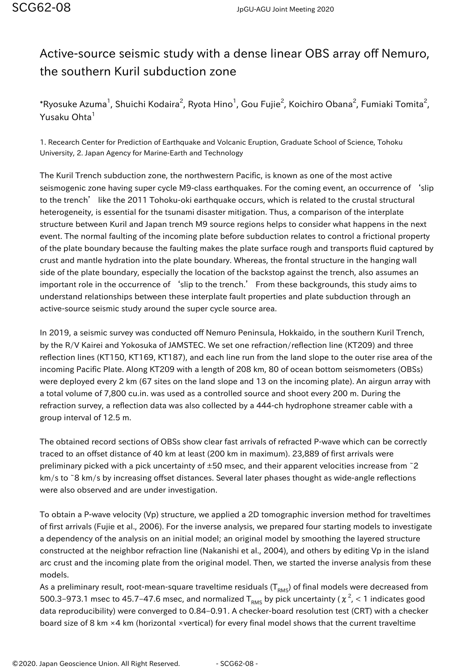## Active-source seismic study with a dense linear OBS array off Nemuro, the southern Kuril subduction zone

 $^*$ Ryosuke Azuma $^1$ , Shuichi Kodaira $^2$ , Ryota Hino $^1$ , Gou Fujie $^2$ , Koichiro Obana $^2$ , Fumiaki Tomita $^2$ , Yusaku Ohta<sup>1</sup>

1. Recearch Center for Prediction of Earthquake and Volcanic Eruption, Graduate School of Science, Tohoku University, 2. Japan Agency for Marine-Earth and Technology

The Kuril Trench subduction zone, the northwestern Pacific, is known as one of the most active seismogenic zone having super cycle M9-class earthquakes. For the coming event, an occurrence of 'slip to the trench' like the 2011 Tohoku-oki earthquake occurs, which is related to the crustal structural heterogeneity, is essential for the tsunami disaster mitigation. Thus, a comparison of the interplate structure between Kuril and Japan trench M9 source regions helps to consider what happens in the next event. The normal faulting of the incoming plate before subduction relates to control a frictional property of the plate boundary because the faulting makes the plate surface rough and transports fluid captured by crust and mantle hydration into the plate boundary. Whereas, the frontal structure in the hanging wall side of the plate boundary, especially the location of the backstop against the trench, also assumes an important role in the occurrence of 'slip to the trench.' From these backgrounds, this study aims to understand relationships between these interplate fault properties and plate subduction through an active-source seismic study around the super cycle source area.

In 2019, a seismic survey was conducted off Nemuro Peninsula, Hokkaido, in the southern Kuril Trench, by the R/V Kairei and Yokosuka of JAMSTEC. We set one refraction/reflection line (KT209) and three reflection lines (KT150, KT169, KT187), and each line run from the land slope to the outer rise area of the incoming Pacific Plate. Along KT209 with a length of 208 km, 80 of ocean bottom seismometers (OBSs) were deployed every 2 km (67 sites on the land slope and 13 on the incoming plate). An airgun array with a total volume of 7,800 cu.in. was used as a controlled source and shoot every 200 m. During the refraction survey, a reflection data was also collected by a 444-ch hydrophone streamer cable with a group interval of 12.5 m.

The obtained record sections of OBSs show clear fast arrivals of refracted P-wave which can be correctly traced to an offset distance of 40 km at least (200 km in maximum). 23,889 of first arrivals were preliminary picked with a pick uncertainty of  $\pm 50$  msec, and their apparent velocities increase from  $\tilde{z}$ km/s to ~8 km/s by increasing offset distances. Several later phases thought as wide-angle reflections were also observed and are under investigation.

To obtain a P-wave velocity (Vp) structure, we applied a 2D tomographic inversion method for traveltimes of first arrivals (Fujie et al., 2006). For the inverse analysis, we prepared four starting models to investigate a dependency of the analysis on an initial model; an original model by smoothing the layered structure constructed at the neighbor refraction line (Nakanishi et al., 2004), and others by editing Vp in the island arc crust and the incoming plate from the original model. Then, we started the inverse analysis from these models.

As a preliminary result, root-mean-square traveltime residuals ( $T_{RMS}$ ) of final models were decreased from 500.3–973.1 msec to 45.7–47.6 msec, and normalized T<sub>RMS</sub> by pick uncertainty (  $\chi$   $^{2}$ ,  $<$  1 indicates good data reproducibility) were converged to 0.84–0.91. A checker-board resolution test (CRT) with a checker board size of 8 km ×4 km (horizontal ×vertical) for every final model shows that the current traveltime